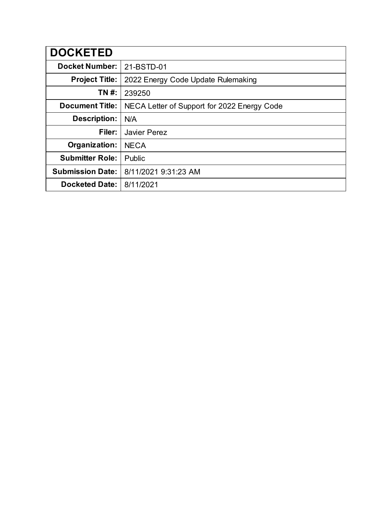| <b>DOCKETED</b>         |                                             |
|-------------------------|---------------------------------------------|
| <b>Docket Number:</b>   | 21-BSTD-01                                  |
| <b>Project Title:</b>   | 2022 Energy Code Update Rulemaking          |
| TN #:                   | 239250                                      |
| <b>Document Title:</b>  | NECA Letter of Support for 2022 Energy Code |
| <b>Description:</b>     | N/A                                         |
| Filer:                  | Javier Perez                                |
| Organization:           | <b>NECA</b>                                 |
| <b>Submitter Role:</b>  | Public                                      |
| <b>Submission Date:</b> | 8/11/2021 9:31:23 AM                        |
| <b>Docketed Date:</b>   | 8/11/2021                                   |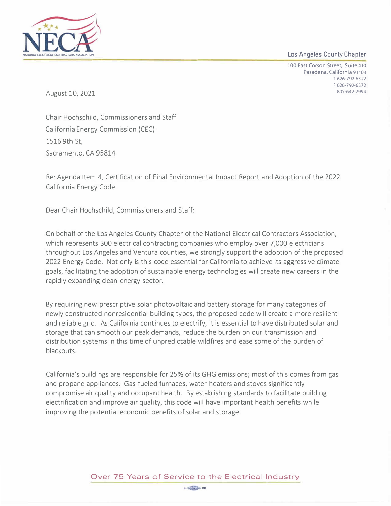Los Angeles County Chapter



**100 East Corson Street. Suite 410 Pasadena, California** 91103 **T 626• 792-6322 F 626-792-6372 805·642-7994** 

August 10, 2021

Chair Hochschild, Commissioners and Staff California Energy Commission (CEC) 1516 9th St, Sacramento, CA 95814

Re: Agenda Item 4, Certification of Final Environmental Impact Report and Adoption of the 2022 California Energy Code.

Dear Chair Hochschild, Commissioners and Staff:

On behalf of the Los Angeles County Chapter of the National Electrical Contractors Association, which represents 300 electrical contracting companies who employ over 7,000 electricians throughout Los Angeles and Ventura counties, we strongly support the adoption of the proposed 2022 Energy Code. Not only is this code essential for California to achieve its aggressive climate goals, facilitating the adoption of sustainable energy technologies will create new careers in the rapidly expanding clean energy sector.

By requiring new prescriptive solar photovoltaic and battery storage for many categories of newly constructed nonresidential building types, the proposed code will create a more resilient and reliable grid. As California continues to electrify, it is essential to have distributed solar and storage that can smooth our peak demands, reduce the burden on our transmission and distribution systems in this time of unpredictable wildfires and ease some of the burden of blackouts.

California's buildings are responsible for 25% of its GHG emissions; most of this comes from gas and propane appliances. Gas-fueled furnaces, water heaters and stoves significantly compromise air quality and occupant health. By establishing standards to facilitate building electrification and improve air quality, this code will have important health benefits while improving the potential economic benefits of solar and storage.